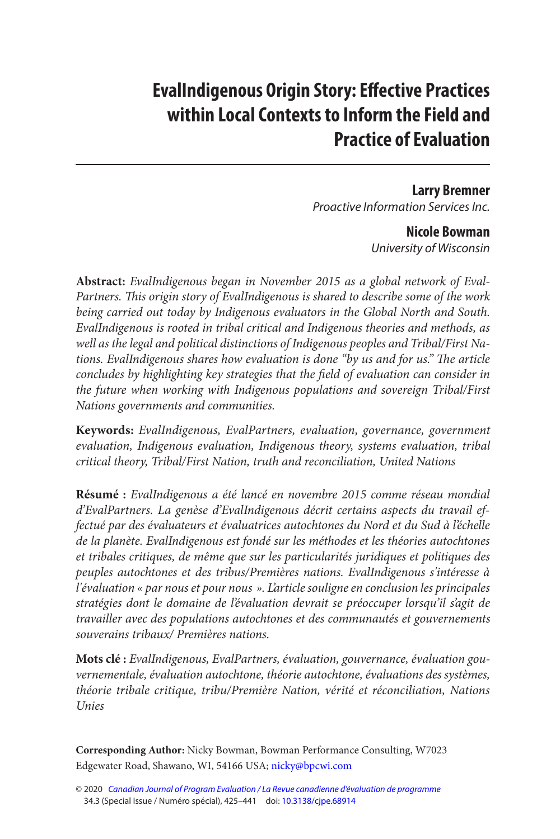# **EvalIndigenous Origin Story: Effective Practices within Local Contexts to Inform the Field and Practice of Evaluation**

 **Larry Bremner**  Proactive Information Services Inc.

> **Nicole Bowman**  University of Wisconsin

**Abstract:** EvalIndigenous began in November 2015 as a global network of Eval-Partners. This origin story of EvalIndigenous is shared to describe some of the work being carried out today by Indigenous evaluators in the Global North and South. EvalIndigenous is rooted in tribal critical and Indigenous theories and methods, as well as the legal and political distinctions of Indigenous peoples and Tribal/First Nations. EvalIndigenous shares how evaluation is done "by us and for us." The article concludes by highlighting key strategies that the field of evaluation can consider in the future when working with Indigenous populations and sovereign Tribal/First Nations governments and communities.

**Keywords:** EvalIndigenous, EvalPartners, evaluation, governance, government evaluation, Indigenous evaluation, Indigenous theory, systems evaluation, tribal critical theory, Tribal/First Nation, truth and reconciliation, United Nations

**Résumé :** EvalIndigenous a été lancé en novembre 2015 comme réseau mondial d'EvalPartners. La genèse d'EvalIndigenous décrit certains aspects du travail effectué par des évaluateurs et évaluatrices autochtones du Nord et du Sud à l'échelle de la planète. EvalIndigenous est fondé sur les méthodes et les théories autochtones et tribales critiques, de même que sur les particularités juridiques et politiques des peuples autochtones et des tribus/Premières nations. EvalIndigenous s'intéresse à l'évaluation « par nous et pour nous ». L'article souligne en conclusion les principales stratégies dont le domaine de l'évaluation devrait se préoccuper lorsqu'il s'agit de travailler avec des populations autochtones et des communautés et gouvernements souverains tribaux/ Premières nations.

**Mots clé :** EvalIndigenous, EvalPartners, évaluation, gouvernance, évaluation gouvernementale, évaluation autochtone, théorie autochtone, évaluations des systèmes, théorie tribale critique, tribu/Première Nation, vérité et réconciliation, Nations Unies

**Corresponding Author:** Nicky Bowman, Bowman Performance Consulting, W7023 Edgewater Road, Shawano, WI, 54166 USA; [nicky@bpcwi.com](mailto:nicky@bpcwi.com) 

<sup>© 2020</sup> [Canadian Journal of Program Evaluation / La Revue canadienne d'évaluation de programme](https://www.utpjournals.press/loi/cjpe)  34.3 (Special Issue / Numéro spécial), 425–441 doi: [10.3138/cjpe.68914](https://doi.org/10.3138/cjpe.68914)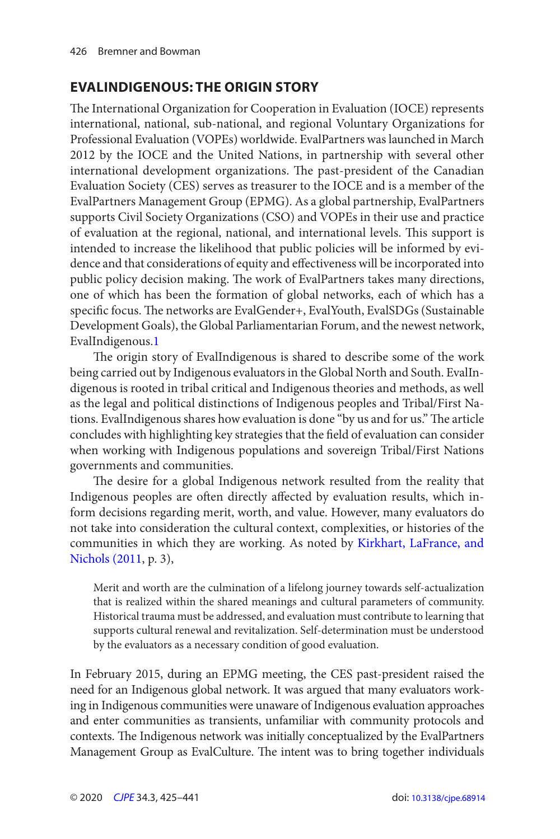# <span id="page-1-0"></span>**EVALINDIGENOUS: THE ORIGIN STORY**

 The International Organization for Cooperation in Evaluation (IOCE) represents international, national, sub-national, and regional Voluntary Organizations for Professional Evaluation (VOPEs) worldwide. EvalPartners was launched in March 2012 by the IOCE and the United Nations, in partnership with several other international development organizations. The past-president of the Canadian Evaluation Society (CES) serves as treasurer to the IOCE and is a member of the EvalPartners Management Group (EPMG). As a global partnership, EvalPartners supports Civil Society Organizations (CSO) and VOPEs in their use and practice of evaluation at the regional, national, and international levels. This support is intended to increase the likelihood that public policies will be informed by evidence and that considerations of equity and effectiveness will be incorporated into public policy decision making. The work of EvalPartners takes many directions, one of which has been the formation of global networks, each of which has a specific focus. The networks are EvalGender+, EvalYouth, EvalSDGs (Sustainable Development Goals), the Global Parliamentarian Forum, and the newest network, EvalIndigenous[. 1](#page-12-0)

 The origin story of EvalIndigenous is shared to describe some of the work being carried out by Indigenous evaluators in the Global North and South. EvalIndigenous is rooted in tribal critical and Indigenous theories and methods, as well as the legal and political distinctions of Indigenous peoples and Tribal/First Nations. EvalIndigenous shares how evaluation is done "by us and for us." The article concludes with highlighting key strategies that the field of evaluation can consider when working with Indigenous populations and sovereign Tribal/First Nations governments and communities.

 The desire for a global Indigenous network resulted from the reality that Indigenous peoples are often directly affected by evaluation results, which inform decisions regarding merit, worth, and value. However, many evaluators do not take into consideration the cultural context, complexities, or histories of the communities in which they are working. As noted by [Kirkhart, LaFrance, and](#page-14-0)  [Nichols \(2011](#page-14-0), p. 3),

Merit and worth are the culmination of a lifelong journey towards self-actualization that is realized within the shared meanings and cultural parameters of community. Historical trauma must be addressed, and evaluation must contribute to learning that supports cultural renewal and revitalization. Self-determination must be understood by the evaluators as a necessary condition of good evaluation.

In February 2015, during an EPMG meeting, the CES past-president raised the need for an Indigenous global network. It was argued that many evaluators working in Indigenous communities were unaware of Indigenous evaluation approaches and enter communities as transients, unfamiliar with community protocols and contexts. The Indigenous network was initially conceptualized by the EvalPartners Management Group as EvalCulture. The intent was to bring together individuals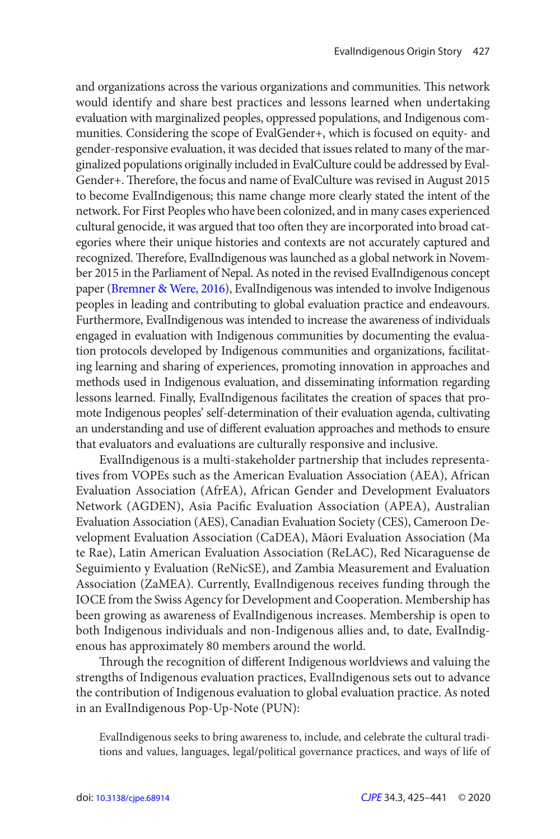<span id="page-2-0"></span>and organizations across the various organizations and communities. This network would identify and share best practices and lessons learned when undertaking evaluation with marginalized peoples, oppressed populations, and Indigenous communities. Considering the scope of EvalGender+, which is focused on equity- and gender-responsive evaluation, it was decided that issues related to many of the marginalized populations originally included in EvalCulture could be addressed by Eval-Gender+. Therefore, the focus and name of EvalCulture was revised in August 2015 to become EvalIndigenous; this name change more clearly stated the intent of the network. For First Peoples who have been colonized, and in many cases experienced cultural genocide, it was argued that too often they are incorporated into broad categories where their unique histories and contexts are not accurately captured and recognized. Therefore, EvalIndigenous was launched as a global network in November 2015 in the Parliament of Nepal. As noted in the revised EvalIndigenous concept paper ([Bremner & Were, 2016](#page-13-0)), EvalIndigenous was intended to involve Indigenous peoples in leading and contributing to global evaluation practice and endeavours. Furthermore, EvalIndigenous was intended to increase the awareness of individuals engaged in evaluation with Indigenous communities by documenting the evaluation protocols developed by Indigenous communities and organizations, facilitating learning and sharing of experiences, promoting innovation in approaches and methods used in Indigenous evaluation, and disseminating information regarding lessons learned. Finally, EvalIndigenous facilitates the creation of spaces that promote Indigenous peoples' self-determination of their evaluation agenda, cultivating an understanding and use of different evaluation approaches and methods to ensure that evaluators and evaluations are culturally responsive and inclusive.

EvalIndigenous is a multi-stakeholder partnership that includes representatives from VOPEs such as the American Evaluation Association (AEA), African Evaluation Association (AfrEA), African Gender and Development Evaluators Network (AGDEN), Asia Pacific Evaluation Association (APEA), Australian Evaluation Association (AES), Canadian Evaluation Society (CES), Cameroon Development Evaluation Association (CaDEA), Māori Evaluation Association (Ma te Rae), Latin American Evaluation Association (ReLAC), Red Nicaraguense de Seguimiento y Evaluation (ReNicSE), and Zambia Measurement and Evaluation Association (ZaMEA). Currently, EvalIndigenous receives funding through the IOCE from the Swiss Agency for Development and Cooperation. Membership has been growing as awareness of EvalIndigenous increases. Membership is open to both Indigenous individuals and non-Indigenous allies and, to date, EvalIndigenous has approximately 80 members around the world.

 Through the recognition of different Indigenous worldviews and valuing the strengths of Indigenous evaluation practices, EvalIndigenous sets out to advance the contribution of Indigenous evaluation to global evaluation practice. As noted in an EvalIndigenous Pop-Up-Note (PUN):

EvalIndigenous seeks to bring awareness to, include, and celebrate the cultural traditions and values, languages, legal/political governance practices, and ways of life of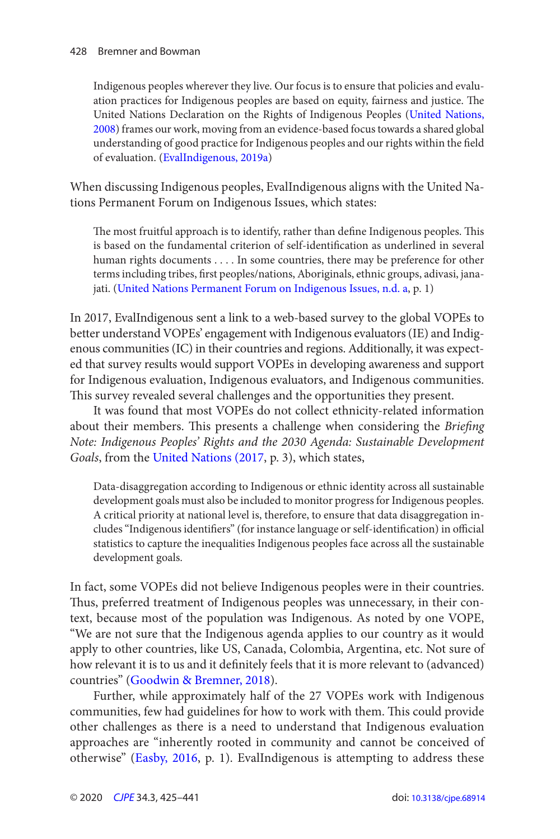#### <span id="page-3-0"></span>428 Bremner and Bowman

Indigenous peoples wherever they live. Our focus is to ensure that policies and evaluation practices for Indigenous peoples are based on equity, fairness and justice. The United Nations Declaration on the Rights of Indigenous Peoples ([United Nations,](#page-15-0)  [2008](#page-15-0)) frames our work, moving from an evidence-based focus towards a shared global understanding of good practice for Indigenous peoples and our rights within the field of evaluation. ([EvalIndigenous, 2019a\)](#page-13-0)

When discussing Indigenous peoples, EvalIndigenous aligns with the United Nations Permanent Forum on Indigenous Issues, which states:

The most fruitful approach is to identify, rather than define Indigenous peoples. This is based on the fundamental criterion of self-identification as underlined in several human rights documents . . . . In some countries, there may be preference for other terms including tribes, first peoples/nations, Aboriginals, ethnic groups, adivasi, janajati. [\(United Nations Permanent Forum on Indigenous Issues, n.d. a](#page-15-0), p. 1)

In 2017, EvalIndigenous sent a link to a web-based survey to the global VOPEs to better understand VOPEs' engagement with Indigenous evaluators (IE) and Indigenous communities (IC) in their countries and regions. Additionally, it was expected that survey results would support VOPEs in developing awareness and support for Indigenous evaluation, Indigenous evaluators, and Indigenous communities. This survey revealed several challenges and the opportunities they present.

It was found that most VOPEs do not collect ethnicity-related information about their members. This presents a challenge when considering the Briefing Note: Indigenous Peoples' Rights and the 2030 Agenda: Sustainable Development Goals, from the [United Nations \(2017](#page-15-0), p. 3), which states,

Data-disaggregation according to Indigenous or ethnic identity across all sustainable development goals must also be included to monitor progress for Indigenous peoples. A critical priority at national level is, therefore, to ensure that data disaggregation includes "Indigenous identifiers" (for instance language or self-identification) in official statistics to capture the inequalities Indigenous peoples face across all the sustainable development goals.

In fact, some VOPEs did not believe Indigenous peoples were in their countries. Thus, preferred treatment of Indigenous peoples was unnecessary, in their context, because most of the population was Indigenous. As noted by one VOPE, "We are not sure that the Indigenous agenda applies to our country as it would apply to other countries, like US, Canada, Colombia, Argentina, etc. Not sure of how relevant it is to us and it definitely feels that it is more relevant to (advanced) countries" [\(Goodwin & Bremner, 2018](#page-14-0)).

Further, while approximately half of the 27 VOPEs work with Indigenous communities, few had guidelines for how to work with them. This could provide other challenges as there is a need to understand that Indigenous evaluation approaches are "inherently rooted in community and cannot be conceived of otherwise" [\(Easby, 2016](#page-13-0), p. 1). EvalIndigenous is attempting to address these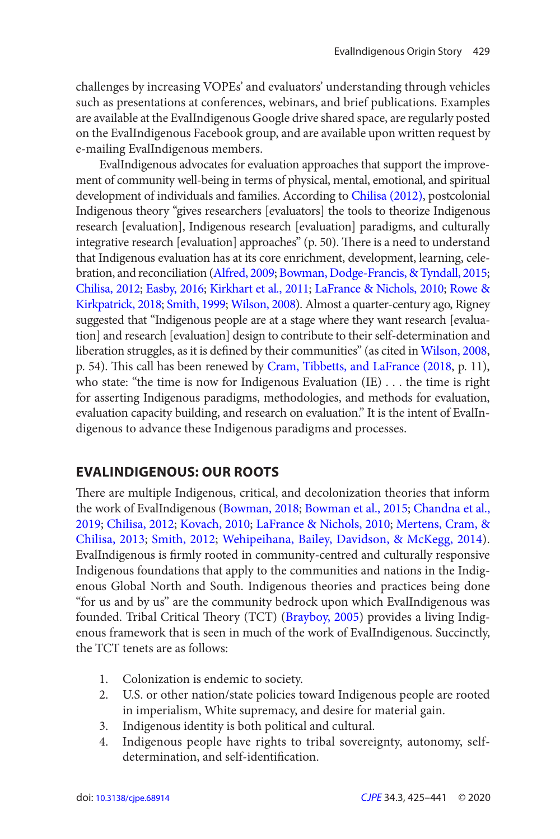<span id="page-4-0"></span>challenges by increasing VOPEs' and evaluators' understanding through vehicles such as presentations at conferences, webinars, and brief publications. Examples are available at the EvalIndigenous Google drive shared space, are regularly posted on the EvalIndigenous Facebook group, and are available upon written request by e-mailing EvalIndigenous members.

EvalIndigenous advocates for evaluation approaches that support the improvement of community well-being in terms of physical, mental, emotional, and spiritual development of individuals and families. According to Chilisa (2012), postcolonial Indigenous theory "gives researchers [evaluators] the tools to theorize Indigenous research [evaluation], Indigenous research [evaluation] paradigms, and culturally integrative research [evaluation] approaches" (p. 50). There is a need to understand that Indigenous evaluation has at its core enrichment, development, learning, celebration, and reconciliation [\(Alfred, 2009](#page-12-0); [Bowman, Dodge-Francis, & Tyndall, 2015](#page-13-0); [Chilisa, 2012](#page-13-0); [Easby, 2016](#page-13-0); [Kirkhart et al., 2011](#page-14-0); [LaFrance & Nichols, 2010;](#page-14-0) [Rowe &](#page-14-0)  [Kirkpatrick, 2018](#page-14-0); [Smith, 1999](#page-14-0); [Wilson, 2008\)](#page-15-0). Almost a quarter-century ago, Rigney suggested that "Indigenous people are at a stage where they want research [evaluation] and research [evaluation] design to contribute to their self-determination and liberation struggles, as it is defined by their communities" (as cited in [Wilson, 2008](#page-15-0), p. 54). This call has been renewed by [Cram, Tibbetts, and LaFrance \(2018](#page-13-0), p. 11), who state: "the time is now for Indigenous Evaluation (IE) . . . the time is right for asserting Indigenous paradigms, methodologies, and methods for evaluation, evaluation capacity building, and research on evaluation." It is the intent of EvalIndigenous to advance these Indigenous paradigms and processes.

# **EVALINDIGENOUS: OUR ROOTS**

 There are multiple Indigenous, critical, and decolonization theories that inform the work of EvalIndigenous ([Bowman, 2018](#page-13-0); [Bowman et al., 2015](#page-13-0); [Chandna et al.,](#page-13-0)  [2019](#page-13-0); [Chilisa, 2012;](#page-13-0) [Kovach, 2010](#page-14-0); [LaFrance & Nichols, 2010](#page-14-0); [Mertens, Cram, &](#page-14-0)  [Chilisa, 2013](#page-14-0); [Smith, 2012;](#page-15-0) [Wehipeihana, Bailey, Davidson, & McKegg, 2014\)](#page-15-0). EvalIndigenous is firmly rooted in community-centred and culturally responsive Indigenous foundations that apply to the communities and nations in the Indigenous Global North and South. Indigenous theories and practices being done "for us and by us" are the community bedrock upon which EvalIndigenous was founded. Tribal Critical Theory (TCT) ([Brayboy, 2005](#page-13-0)) provides a living Indigenous framework that is seen in much of the work of EvalIndigenous. Succinctly, the TCT tenets are as follows:

- 1. Colonization is endemic to society.
- 2. U.S. or other nation/state policies toward Indigenous people are rooted in imperialism, White supremacy, and desire for material gain.
- 3. Indigenous identity is both political and cultural.
- 4. Indigenous people have rights to tribal sovereignty, autonomy, selfdetermination, and self-identification.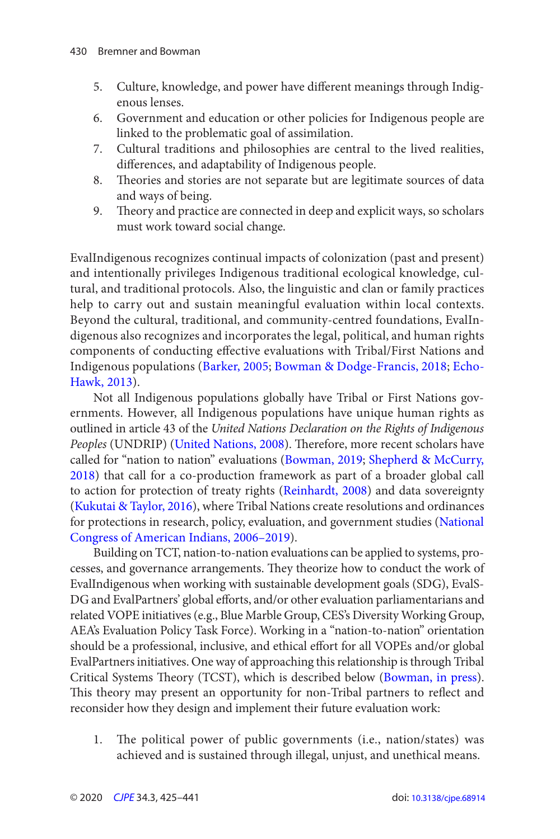- <span id="page-5-0"></span>5. Culture, knowledge, and power have different meanings through Indigenous lenses.
- 6. Government and education or other policies for Indigenous people are linked to the problematic goal of assimilation.
- 7. Cultural traditions and philosophies are central to the lived realities, differences, and adaptability of Indigenous people.
- 8. Theories and stories are not separate but are legitimate sources of data and ways of being.
- 9. Theory and practice are connected in deep and explicit ways, so scholars must work toward social change.

EvalIndigenous recognizes continual impacts of colonization (past and present) and intentionally privileges Indigenous traditional ecological knowledge, cultural, and traditional protocols. Also, the linguistic and clan or family practices help to carry out and sustain meaningful evaluation within local contexts. Beyond the cultural, traditional, and community-centred foundations, EvalIndigenous also recognizes and incorporates the legal, political, and human rights components of conducting effective evaluations with Tribal/First Nations and Indigenous populations [\(Barker, 2005](#page-12-0); [Bowman & Dodge-Francis, 2018; Echo-](#page-13-0)[Hawk, 2013](#page-13-0)).

Not all Indigenous populations globally have Tribal or First Nations governments. However, all Indigenous populations have unique human rights as outlined in article 43 of the United Nations Declaration on the Rights of Indigenous Peoples (UNDRIP) ([United Nations, 2008](#page-15-0)). Therefore, more recent scholars have called for "nation to nation" evaluations ([Bowman, 2019;](#page-13-0) [Shepherd & McCurry,](#page-14-0)  [2018](#page-14-0)) that call for a co-production framework as part of a broader global call to action for protection of treaty rights ([Reinhardt, 2008](#page-14-0)) and data sovereignty ([Kukutai & Taylor, 2016](#page-14-0)), where Tribal Nations create resolutions and ordinances for protections in research, policy, evaluation, and government studies ([National](#page-14-0)  [Congress of American Indians, 2006 –2019\)](#page-14-0).

Building on TCT, nation-to-nation evaluations can be applied to systems, processes, and governance arrangements. They theorize how to conduct the work of EvalIndigenous when working with sustainable development goals (SDG), EvalS-DG and EvalPartners' global efforts, and/or other evaluation parliamentarians and related VOPE initiatives (e.g., Blue Marble Group, CES's Diversity Working Group, AEA's Evaluation Policy Task Force). Working in a "nation-to-nation" orientation should be a professional, inclusive, and ethical effort for all VOPEs and/or global EvalPartners initiatives. One way of approaching this relationship is through Tribal Critical Systems Theory (TCST), which is described below ([Bowman, in press\)](#page-13-0). This theory may present an opportunity for non-Tribal partners to reflect and reconsider how they design and implement their future evaluation work:

1. The political power of public governments (i.e., nation/states) was achieved and is sustained through illegal, unjust, and unethical means.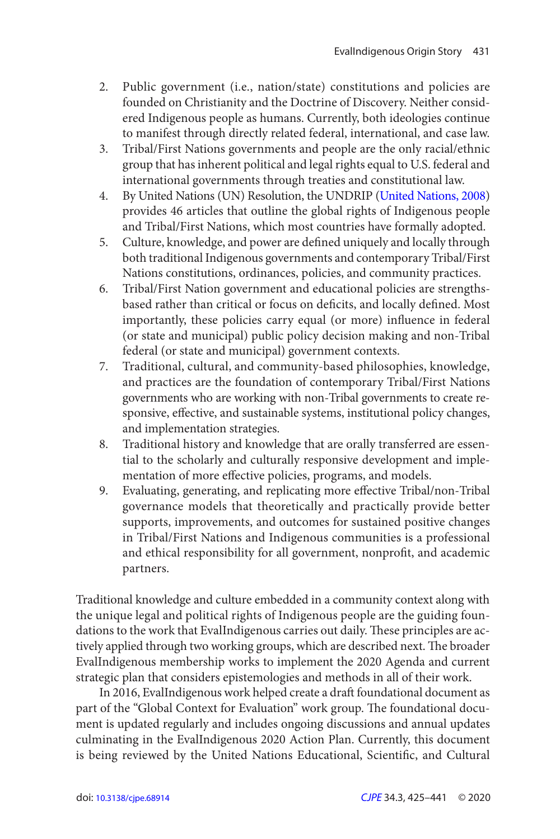- 2. Public government (i.e., nation/state) constitutions and policies are founded on Christianity and the Doctrine of Discovery. Neither considered Indigenous people as humans. Currently, both ideologies continue to manifest through directly related federal, international, and case law.
- 3. Tribal/First Nations governments and people are the only racial/ethnic group that has inherent political and legal rights equal to U.S. federal and international governments through treaties and constitutional law.
- 4. By United Nations (UN) Resolution, the UNDRIP ([United Nations, 2008](#page-15-0)) provides 46 articles that outline the global rights of Indigenous people and Tribal/First Nations, which most countries have formally adopted.
- 5. Culture, knowledge, and power are defined uniquely and locally through both traditional Indigenous governments and contemporary Tribal/First Nations constitutions, ordinances, policies, and community practices.
- 6. Tribal/First Nation government and educational policies are strengthsbased rather than critical or focus on deficits, and locally defined. Most importantly, these policies carry equal (or more) influence in federal (or state and municipal) public policy decision making and non-Tribal federal (or state and municipal) government contexts.
- 7. Traditional, cultural, and community-based philosophies, knowledge, and practices are the foundation of contemporary Tribal/First Nations governments who are working with non-Tribal governments to create responsive, effective, and sustainable systems, institutional policy changes, and implementation strategies.
- 8. Traditional history and knowledge that are orally transferred are essential to the scholarly and culturally responsive development and implementation of more effective policies, programs, and models.
- 9. Evaluating, generating, and replicating more effective Tribal/non-Tribal governance models that theoretically and practically provide better supports, improvements, and outcomes for sustained positive changes in Tribal/First Nations and Indigenous communities is a professional and ethical responsibility for all government, nonprofit, and academic partners.

Traditional knowledge and culture embedded in a community context along with the unique legal and political rights of Indigenous people are the guiding foundations to the work that EvalIndigenous carries out daily. These principles are actively applied through two working groups, which are described next. The broader EvalIndigenous membership works to implement the 2020 Agenda and current strategic plan that considers epistemologies and methods in all of their work.

In 2016, EvalIndigenous work helped create a draft foundational document as part of the "Global Context for Evaluation" work group. The foundational document is updated regularly and includes ongoing discussions and annual updates culminating in the EvalIndigenous 2020 Action Plan. Currently, this document is being reviewed by the United Nations Educational, Scientific, and Cultural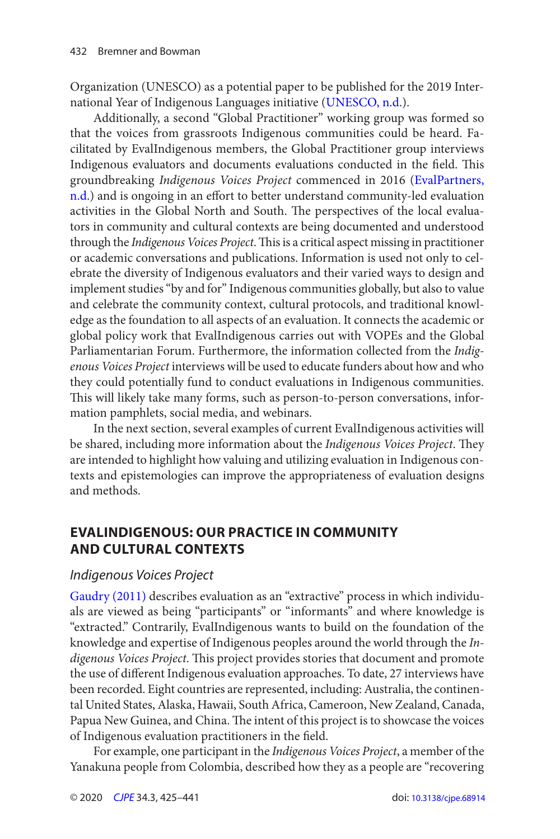<span id="page-7-0"></span>Organization (UNESCO) as a potential paper to be published for the 2019 International Year of Indigenous Languages initiative ([UNESCO, n.d.](#page-15-0)).

Additionally, a second "Global Practitioner" working group was formed so that the voices from grassroots Indigenous communities could be heard. Facilitated by EvalIndigenous members, the Global Practitioner group interviews Indigenous evaluators and documents evaluations conducted in the field. This groundbreaking Indigenous Voices Project commenced in 2016 ([EvalPartners,](#page-13-0) [n.d.](#page-13-0)) and is ongoing in an effort to better understand community-led evaluation activities in the Global North and South. The perspectives of the local evaluators in community and cultural contexts are being documented and understood through the Indigenous Voices Project. This is a critical aspect missing in practitioner or academic conversations and publications. Information is used not only to celebrate the diversity of Indigenous evaluators and their varied ways to design and implement studies "by and for" Indigenous communities globally, but also to value and celebrate the community context, cultural protocols, and traditional knowledge as the foundation to all aspects of an evaluation. It connects the academic or global policy work that EvalIndigenous carries out with VOPEs and the Global Parliamentarian Forum. Furthermore, the information collected from the Indigenous Voices Project interviews will be used to educate funders about how and who they could potentially fund to conduct evaluations in Indigenous communities. This will likely take many forms, such as person-to-person conversations, information pamphlets, social media, and webinars.

In the next section, several examples of current EvalIndigenous activities will be shared, including more information about the Indigenous Voices Project. They are intended to highlight how valuing and utilizing evaluation in Indigenous contexts and epistemologies can improve the appropriateness of evaluation designs and methods.

# **EVALINDIGENOUS: OUR PRACTICE IN COMMUNITY AND CULTURAL CONTEXTS**

#### Indigenous Voices Project

Gaudry (2011) describes evaluation as an "extractive" process in which individuals are viewed as being "participants" or "informants" and where knowledge is "extracted." Contrarily, EvalIndigenous wants to build on the foundation of the knowledge and expertise of Indigenous peoples around the world through the Indigenous Voices Project. This project provides stories that document and promote the use of different Indigenous evaluation approaches. To date, 27 interviews have been recorded. Eight countries are represented, including: Australia, the continental United States, Alaska, Hawaii, South Africa, Cameroon, New Zealand, Canada, Papua New Guinea, and China. The intent of this project is to showcase the voices of Indigenous evaluation practitioners in the field.

For example, one participant in the Indigenous Voices Project, a member of the Yanakuna people from Colombia, described how they as a people are "recovering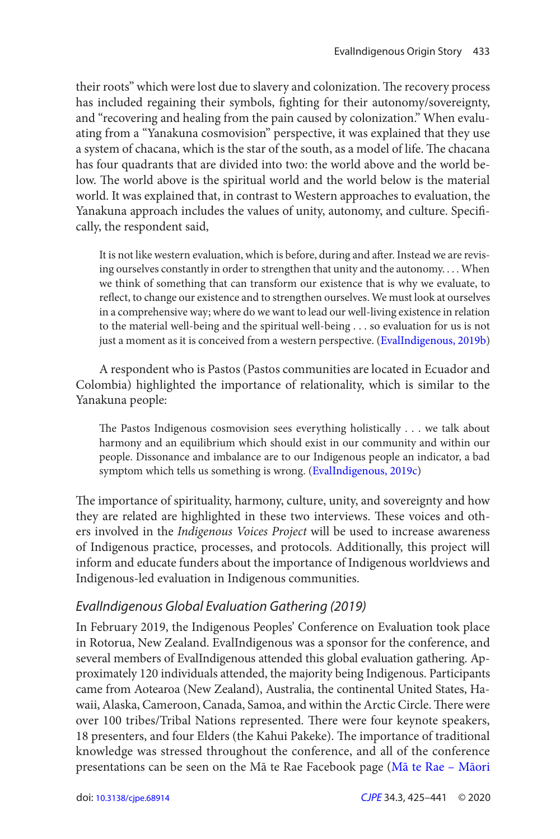<span id="page-8-0"></span>their roots" which were lost due to slavery and colonization. The recovery process has included regaining their symbols, fighting for their autonomy/sovereignty, and "recovering and healing from the pain caused by colonization." When evaluating from a "Yanakuna cosmovision" perspective, it was explained that they use a system of chacana, which is the star of the south, as a model of life. The chacana has four quadrants that are divided into two: the world above and the world below. The world above is the spiritual world and the world below is the material world. It was explained that, in contrast to Western approaches to evaluation, the Yanakuna approach includes the values of unity, autonomy, and culture. Specifi cally, the respondent said,

It is not like western evaluation, which is before, during and after. Instead we are revising ourselves constantly in order to strengthen that unity and the autonomy. . . . When we think of something that can transform our existence that is why we evaluate, to reflect, to change our existence and to strengthen ourselves. We must look at ourselves in a comprehensive way; where do we want to lead our well-living existence in relation to the material well-being and the spiritual well-being . . . so evaluation for us is not just a moment as it is conceived from a western perspective. ([EvalIndigenous, 2019b](#page-14-0))

A respondent who is Pastos (Pastos communities are located in Ecuador and Colombia) highlighted the importance of relationality, which is similar to the Yanakuna people:

 The Pastos Indigenous cosmovision sees everything holistically . . . we talk about harmony and an equilibrium which should exist in our community and within our people. Dissonance and imbalance are to our Indigenous people an indicator, a bad symptom which tells us something is wrong. ([EvalIndigenous, 2019c](#page-14-0))

 The importance of spirituality, harmony, culture, unity, and sovereignty and how they are related are highlighted in these two interviews. These voices and others involved in the Indigenous Voices Project will be used to increase awareness of Indigenous practice, processes, and protocols. Additionally, this project will inform and educate funders about the importance of Indigenous worldviews and Indigenous-led evaluation in Indigenous communities.

### EvalIndigenous Global Evaluation Gathering (2019)

In February 2019, the Indigenous Peoples' Conference on Evaluation took place in Rotorua, New Zealand. EvalIndigenous was a sponsor for the conference, and several members of EvalIndigenous attended this global evaluation gathering. Approximately 120 individuals attended, the majority being Indigenous. Participants came from Aotearoa (New Zealand), Australia, the continental United States, Hawaii, Alaska, Cameroon, Canada, Samoa, and within the Arctic Circle. There were over 100 tribes/Tribal Nations represented. There were four keynote speakers, 18 presenters, and four Elders (the Kahui Pakeke). The importance of traditional knowledge was stressed throughout the conference, and all of the conference presentations can be seen on the Mā te Rae Facebook page [\(Mā te Rae – Māori](#page-14-0)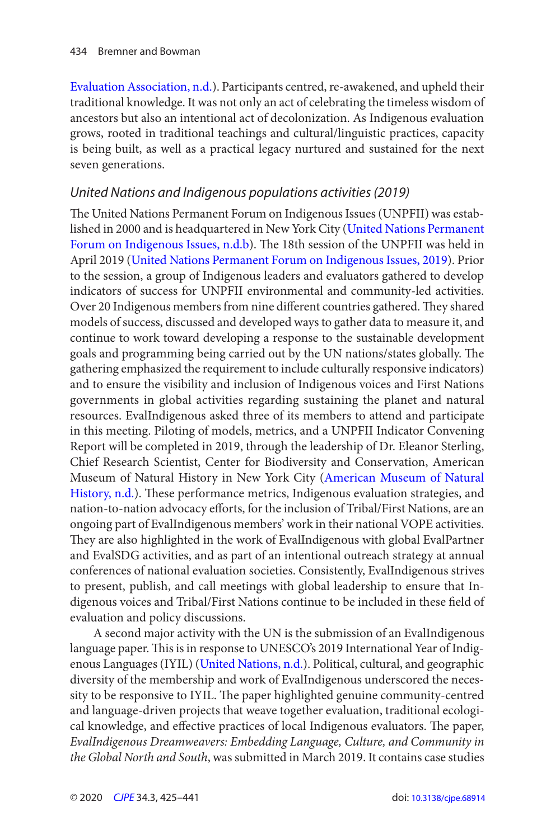<span id="page-9-0"></span>[Evaluation Association, n.d.\)](#page-14-0). Participants centred, re-awakened, and upheld their traditional knowledge. It was not only an act of celebrating the timeless wisdom of ancestors but also an intentional act of decolonization. As Indigenous evaluation grows, rooted in traditional teachings and cultural/linguistic practices, capacity is being built, as well as a practical legacy nurtured and sustained for the next seven generations.

#### United Nations and Indigenous populations activities (2019)

 The United Nations Permanent Forum on Indigenous Issues (UNPFII) was established in 2000 and is headquartered in New York City ( [United Nations Permanent](#page-15-0)  [Forum on Indigenous Issues, n.d.b](#page-15-0)). The 18th session of the UNPFII was held in April 2019 ([United Nations Permanent Forum on Indigenous Issues, 2019](#page-15-0)). Prior to the session, a group of Indigenous leaders and evaluators gathered to develop indicators of success for UNPFII environmental and community-led activities. Over 20 Indigenous members from nine different countries gathered. They shared models of success, discussed and developed ways to gather data to measure it, and continue to work toward developing a response to the sustainable development goals and programming being carried out by the UN nations/states globally. The gathering emphasized the requirement to include culturally responsive indicators) and to ensure the visibility and inclusion of Indigenous voices and First Nations governments in global activities regarding sustaining the planet and natural resources. EvalIndigenous asked three of its members to attend and participate in this meeting. Piloting of models, metrics, and a UNPFII Indicator Convening Report will be completed in 2019, through the leadership of Dr. Eleanor Sterling, Chief Research Scientist, Center for Biodiversity and Conservation, American Museum of Natural History in New York City [\(American Museum of Natural](#page-12-0)  [History, n.d.](#page-12-0)). These performance metrics, Indigenous evaluation strategies, and nation-to-nation advocacy efforts, for the inclusion of Tribal/First Nations, are an ongoing part of EvalIndigenous members' work in their national VOPE activities. They are also highlighted in the work of EvalIndigenous with global EvalPartner and EvalSDG activities, and as part of an intentional outreach strategy at annual conferences of national evaluation societies. Consistently, EvalIndigenous strives to present, publish, and call meetings with global leadership to ensure that Indigenous voices and Tribal/First Nations continue to be included in these field of evaluation and policy discussions.

A second major activity with the UN is the submission of an EvalIndigenous language paper. This is in response to UNESCO's 2019 International Year of Indigenous Languages (IYIL) [\(United Nations, n.d.\)](#page-15-0). Political, cultural, and geographic diversity of the membership and work of EvalIndigenous underscored the necessity to be responsive to IYIL. The paper highlighted genuine community-centred and language-driven projects that weave together evaluation, traditional ecological knowledge, and effective practices of local Indigenous evaluators. The paper, EvalIndigenous Dreamweavers: Embedding Language, Culture, and Community in the Global North and South, was submitted in March 2019. It contains case studies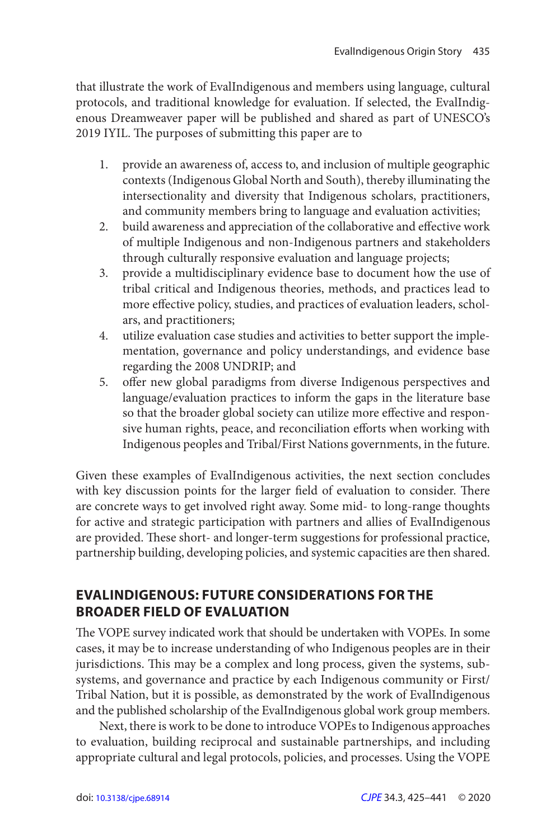that illustrate the work of EvalIndigenous and members using language, cultural protocols, and traditional knowledge for evaluation. If selected, the EvalIndigenous Dreamweaver paper will be published and shared as part of UNESCO's 2019 IYIL. The purposes of submitting this paper are to

- 1. provide an awareness of, access to, and inclusion of multiple geographic contexts (Indigenous Global North and South), thereby illuminating the intersectionality and diversity that Indigenous scholars, practitioners, and community members bring to language and evaluation activities;
- 2. build awareness and appreciation of the collaborative and effective work of multiple Indigenous and non-Indigenous partners and stakeholders through culturally responsive evaluation and language projects;
- 3. provide a multidisciplinary evidence base to document how the use of tribal critical and Indigenous theories, methods, and practices lead to more effective policy, studies, and practices of evaluation leaders, scholars, and practitioners;
- 4. utilize evaluation case studies and activities to better support the implementation, governance and policy understandings, and evidence base regarding the 2008 UNDRIP; and
- 5. offer new global paradigms from diverse Indigenous perspectives and language/evaluation practices to inform the gaps in the literature base so that the broader global society can utilize more effective and responsive human rights, peace, and reconciliation efforts when working with Indigenous peoples and Tribal/First Nations governments, in the future.

Given these examples of EvalIndigenous activities, the next section concludes with key discussion points for the larger field of evaluation to consider. There are concrete ways to get involved right away. Some mid- to long-range thoughts for active and strategic participation with partners and allies of EvalIndigenous are provided. These short- and longer-term suggestions for professional practice, partnership building, developing policies, and systemic capacities are then shared.

# **EVALINDIGENOUS: FUTURE CONSIDERATIONS FOR THE BROADER FIELD OF EVALUATION**

 The VOPE survey indicated work that should be undertaken with VOPEs. In some cases, it may be to increase understanding of who Indigenous peoples are in their jurisdictions. This may be a complex and long process, given the systems, subsystems, and governance and practice by each Indigenous community or First/ Tribal Nation, but it is possible, as demonstrated by the work of EvalIndigenous and the published scholarship of the EvalIndigenous global work group members.

Next, there is work to be done to introduce VOPEs to Indigenous approaches to evaluation, building reciprocal and sustainable partnerships, and including appropriate cultural and legal protocols, policies, and processes. Using the VOPE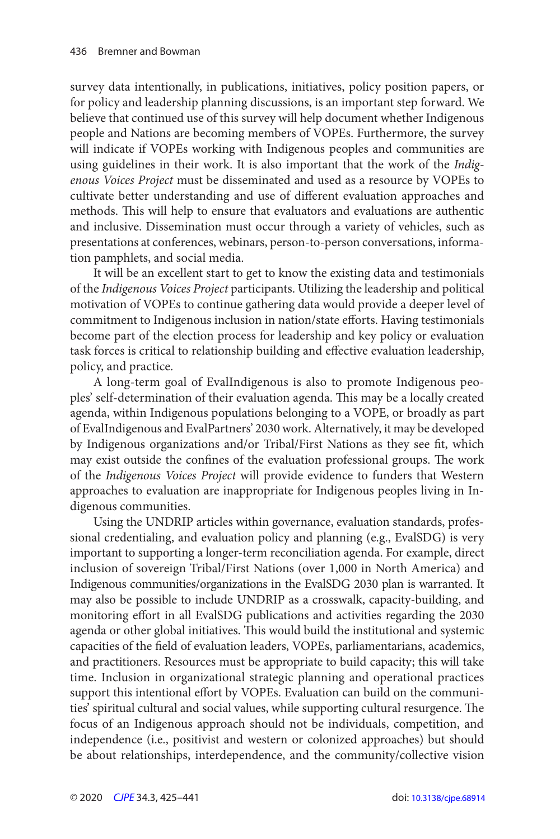survey data intentionally, in publications, initiatives, policy position papers, or for policy and leadership planning discussions, is an important step forward. We believe that continued use of this survey will help document whether Indigenous people and Nations are becoming members of VOPEs. Furthermore, the survey will indicate if VOPEs working with Indigenous peoples and communities are using guidelines in their work. It is also important that the work of the Indigenous Voices Project must be disseminated and used as a resource by VOPEs to cultivate better understanding and use of different evaluation approaches and methods. This will help to ensure that evaluators and evaluations are authentic and inclusive. Dissemination must occur through a variety of vehicles, such as presentations at conferences, webinars, person-to-person conversations, information pamphlets, and social media.

It will be an excellent start to get to know the existing data and testimonials of the Indigenous Voices Project participants. Utilizing the leadership and political motivation of VOPEs to continue gathering data would provide a deeper level of commitment to Indigenous inclusion in nation/state efforts. Having testimonials become part of the election process for leadership and key policy or evaluation task forces is critical to relationship building and effective evaluation leadership, policy, and practice.

A long-term goal of EvalIndigenous is also to promote Indigenous peoples' self-determination of their evaluation agenda. This may be a locally created agenda, within Indigenous populations belonging to a VOPE, or broadly as part of EvalIndigenous and EvalPartners' 2030 work. Alternatively, it may be developed by Indigenous organizations and/or Tribal/First Nations as they see fit, which may exist outside the confines of the evaluation professional groups. The work of the Indigenous Voices Project will provide evidence to funders that Western approaches to evaluation are inappropriate for Indigenous peoples living in Indigenous communities.

Using the UNDRIP articles within governance, evaluation standards, professional credentialing, and evaluation policy and planning (e.g., EvalSDG) is very important to supporting a longer-term reconciliation agenda. For example, direct inclusion of sovereign Tribal/First Nations (over 1,000 in North America) and Indigenous communities/organizations in the EvalSDG 2030 plan is warranted. It may also be possible to include UNDRIP as a crosswalk, capacity-building, and monitoring effort in all EvalSDG publications and activities regarding the 2030 agenda or other global initiatives. This would build the institutional and systemic capacities of the field of evaluation leaders, VOPEs, parliamentarians, academics, and practitioners. Resources must be appropriate to build capacity; this will take time. Inclusion in organizational strategic planning and operational practices support this intentional effort by VOPEs. Evaluation can build on the communities' spiritual cultural and social values, while supporting cultural resurgence. The focus of an Indigenous approach should not be individuals, competition, and independence (i.e., positivist and western or colonized approaches) but should be about relationships, interdependence, and the community/collective vision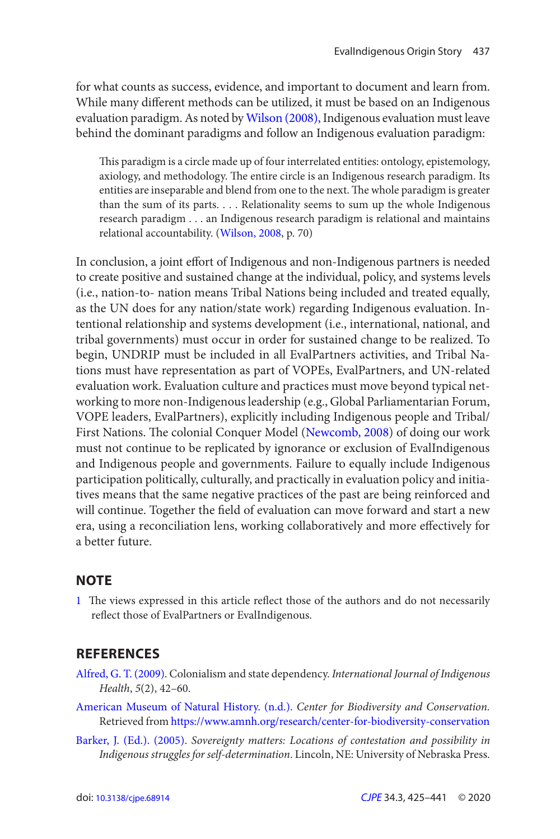<span id="page-12-0"></span>for what counts as success, evidence, and important to document and learn from. While many different methods can be utilized, it must be based on an Indigenous evaluation paradigm. As noted by Wilson (2008), Indigenous evaluation must leave behind the dominant paradigms and follow an Indigenous evaluation paradigm:

 This paradigm is a circle made up of four interrelated entities: ontology, epistemology, axiology, and methodology. The entire circle is an Indigenous research paradigm. Its entities are inseparable and blend from one to the next. The whole paradigm is greater than the sum of its parts. . . . Relationality seems to sum up the whole Indigenous research paradigm . . . an Indigenous research paradigm is relational and maintains relational accountability. ([Wilson, 2008](#page-15-0), p. 70)

In conclusion, a joint effort of Indigenous and non-Indigenous partners is needed to create positive and sustained change at the individual, policy, and systems levels (i.e., nation-to- nation means Tribal Nations being included and treated equally, as the UN does for any nation/state work) regarding Indigenous evaluation. Intentional relationship and systems development (i.e., international, national, and tribal governments) must occur in order for sustained change to be realized. To begin, UNDRIP must be included in all EvalPartners activities, and Tribal Nations must have representation as part of VOPEs, EvalPartners, and UN-related evaluation work. Evaluation culture and practices must move beyond typical networking to more non-Indigenous leadership (e.g., Global Parliamentarian Forum, VOPE leaders, EvalPartners), explicitly including Indigenous people and Tribal/ First Nations. The colonial Conquer Model [\(Newcomb, 2008](#page-14-0)) of doing our work must not continue to be replicated by ignorance or exclusion of EvalIndigenous and Indigenous people and governments. Failure to equally include Indigenous participation politically, culturally, and practically in evaluation policy and initiatives means that the same negative practices of the past are being reinforced and will continue. Together the field of evaluation can move forward and start a new era, using a reconciliation lens, working collaboratively and more effectively for a better future.

#### **NOTE**

[1](#page-1-0) The views expressed in this article reflect those of the authors and do not necessarily reflect those of EvalPartners or EvalIndigenous.

### **REFERENCES**

- Alfred, G. T. (2009). Colonialism and state dependency. International Journal of Indigenous Health,  $5(2)$ ,  $42-60$ .
- American Museum of Natural History. (n.d.). Center for Biodiversity and Conservation. Retrieved from <https://www.amnh.org/research/center-for-biodiversity-conservation>
- Barker, J. (Ed.). (2005). Sovereignty matters: Locations of contestation and possibility in Indigenous struggles for self-determination. Lincoln, NE: University of Nebraska Press.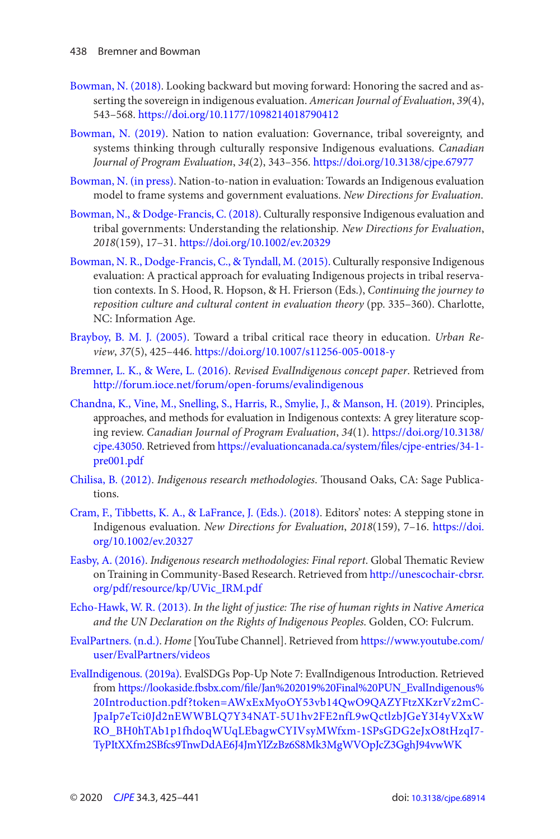- <span id="page-13-0"></span>Bowman, N. (2018). Looking backward but moving forward: Honoring the sacred and asserting the sovereign in indigenous evaluation. American Journal of Evaluation, 39(4), 543 – 568 . <https://doi.org/10.1177/1098214018790412>
- Bowman, N. (2019). Nation to nation evaluation: Governance, tribal sovereignty, and systems thinking through culturally responsive Indigenous evaluations. Canadian Journal of Program Evaluation, 34(2), 343-356. <https://doi.org/10.3138/cjpe.67977>
- Bowman, N. (in press). Nation-to-nation in evaluation: Towards an Indigenous evaluation model to frame systems and government evaluations . New Directions for Evaluation.
- Bowman, N., & Dodge-Francis, C. (2018). Culturally responsive Indigenous evaluation and tribal governments: Understanding the relationship . New Directions for Evaluation , 2018(159), 17-31. https://doi.org/10.1002/ev.20329
- Bowman, N. R., Dodge-Francis, C., & Tyndall, M. (2015). Culturally responsive Indigenous evaluation: A practical approach for evaluating Indigenous projects in tribal reservation contexts. In S. Hood, R. Hopson, & H. Frierson (Eds.), Continuing the journey to reposition culture and cultural content in evaluation theory (pp. 335–360). Charlotte, NC: Information Age.
- Brayboy, B. M. J. (2005). Toward a tribal critical race theory in education. Urban Review, 37(5), 425-446. https://doi.org/10.1007/s11256-005-0018-y
- Bremner, L. K., & Were, L. (2016). Revised EvalIndigenous concept paper. Retrieved from <http://forum.ioce.net/forum/open-forums/evalindigenous>
- Chandna, K., Vine, M., Snelling, S., Harris, R., Smylie, J., & Manson, H. (2019). Principles, approaches, and methods for evaluation in Indigenous contexts: A grey literature scoping review. Canadian Journal of Program Evaluation, 34( 1 ). [https://doi.org/10.3138/](https://doi.org/10.3138/cjpe.43050)  [cjpe.43050](https://doi.org/10.3138/cjpe.43050). Retrieved from https://evaluationcanada.ca/system/files/cjpe-entries/34-1[pre001.pdf](https://evaluationcanada.ca/system/files/cjpe-entries/34-1-pre001.pdf)
- Chilisa, B. (2012). Indigenous research methodologies. Thousand Oaks, CA: Sage Publications.
- Cram, F., Tibbetts, K. A., & LaFrance, J. (Eds.). (2018). Editors' notes: A stepping stone in Indigenous evaluation. New Directions for Evaluation, 2018(159), 7-16. https://doi. [org/10.1002/ev.20327](https://doi.org/10.1002/ev.20327)
- Easby, A. (2016). Indigenous research methodologies: Final report. Global Thematic Review on Training in Community-Based Research . Retrieved from [http://unescochair-cbrsr.](http://unescochair-cbrsr.org/pdf/resource/kp/UVic_IRM.pdf) [org/pdf/resource/kp/UVic\\_IRM.pdf](http://unescochair-cbrsr.org/pdf/resource/kp/UVic_IRM.pdf)
- Echo-Hawk, W. R. (2013). In the light of justice: The rise of human rights in Native America and the UN Declaration on the Rights of Indigenous Peoples. Golden, CO: Fulcrum.
- EvalPartners. (n.d.). Home [YouTube Channel]. Retrieved from https://www.youtube.com/ [user/EvalPartners/videos](https://www.youtube.com/user/EvalPartners/videos)
- [EvalIndigenous . \( 2019a \)](#page-3-0). EvalSDGs Pop-Up Note 7: EvalIndigenous Introduction. Retrieved from https://lookaside.fbsbx.com/file/Jan%202019%20Final%20PUN\_EvalIndigenous% [20Introduction.pdf?token=AWxExMyoOY53vb14QwO9QAZYFtzXKzrVz2mC-](https://lookaside.fbsbx.com/file/Jan%202019%20Final%20PUN_EvalIndigenous%20Introduction.pdf?token=AWxExMyoOY53vb14QwO9QAZYFtzXKzrVz2mCJpaIp7eTci0Jd2nEWWBLQ7Y34NAT-5U1hv2FE2nfL9wQctlzbJGeY3I4yVXxWRO_BH0hTAb1p1fhdoqWUqLEbagwCYIVsyMWfxm-1SPsGDG2eJxO8tHzqI7-TyPItXXfm2SBfcs9TnwDdAE6J4JmYlZzBz6S8Mk3MgWVOpJcZ3GghJ94vwWK)[JpaIp7eTci0Jd2nEWWBLQ7Y34NAT-5U1hv2FE2nfL9wQctlzbJGeY3I4yVXxW](https://lookaside.fbsbx.com/file/Jan%202019%20Final%20PUN_EvalIndigenous%20Introduction.pdf?token=AWxExMyoOY53vb14QwO9QAZYFtzXKzrVz2mCJpaIp7eTci0Jd2nEWWBLQ7Y34NAT-5U1hv2FE2nfL9wQctlzbJGeY3I4yVXxWRO_BH0hTAb1p1fhdoqWUqLEbagwCYIVsyMWfxm-1SPsGDG2eJxO8tHzqI7-TyPItXXfm2SBfcs9TnwDdAE6J4JmYlZzBz6S8Mk3MgWVOpJcZ3GghJ94vwWK)  [RO\\_BH0hTAb1p1fhdoqWUqLEbagwCYIVsyMWfxm-1SPsGDG2eJxO8tHzqI7](https://lookaside.fbsbx.com/file/Jan%202019%20Final%20PUN_EvalIndigenous%20Introduction.pdf?token=AWxExMyoOY53vb14QwO9QAZYFtzXKzrVz2mCJpaIp7eTci0Jd2nEWWBLQ7Y34NAT-5U1hv2FE2nfL9wQctlzbJGeY3I4yVXxWRO_BH0hTAb1p1fhdoqWUqLEbagwCYIVsyMWfxm-1SPsGDG2eJxO8tHzqI7-TyPItXXfm2SBfcs9TnwDdAE6J4JmYlZzBz6S8Mk3MgWVOpJcZ3GghJ94vwWK) [TyPItXXfm2SBfcs9TnwDdAE6J4JmYlZzBz6S8Mk3MgWVOpJcZ3GghJ94vwWK](https://lookaside.fbsbx.com/file/Jan%202019%20Final%20PUN_EvalIndigenous%20Introduction.pdf?token=AWxExMyoOY53vb14QwO9QAZYFtzXKzrVz2mCJpaIp7eTci0Jd2nEWWBLQ7Y34NAT-5U1hv2FE2nfL9wQctlzbJGeY3I4yVXxWRO_BH0hTAb1p1fhdoqWUqLEbagwCYIVsyMWfxm-1SPsGDG2eJxO8tHzqI7-TyPItXXfm2SBfcs9TnwDdAE6J4JmYlZzBz6S8Mk3MgWVOpJcZ3GghJ94vwWK)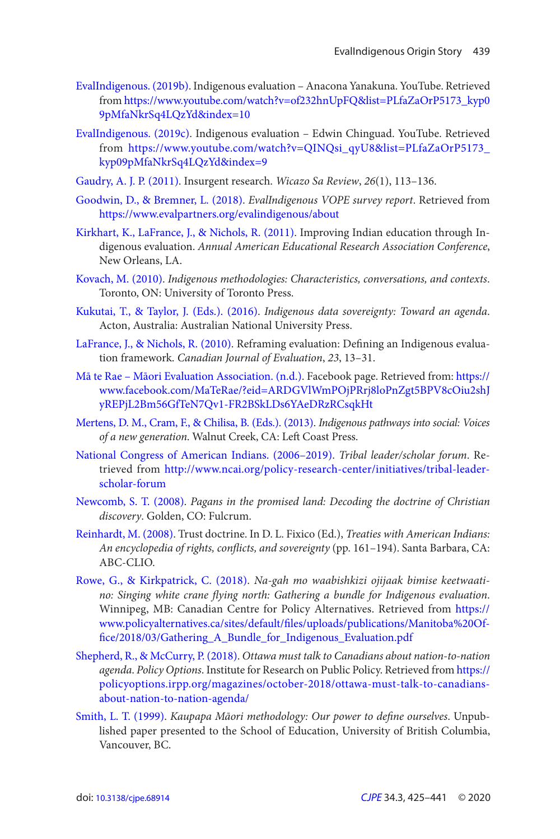- <span id="page-14-0"></span>[EvalIndigenous . \( 2019b \)](#page-8-0). Indigenous evaluation – Anacona Yanakuna . YouTube. Retrieved from [https://www.youtube.com/watch?v=of232hnUpFQ&list=PLfaZaOrP5173\\_kyp0](https://www.youtube.com/watch?v=of232hnUpFQ&list=PLfaZaOrP5173_kyp09pMfaNkrSq4LQzYd&index=10)  [9pMfaNkrSq4LQzYd&index=10](https://www.youtube.com/watch?v=of232hnUpFQ&list=PLfaZaOrP5173_kyp09pMfaNkrSq4LQzYd&index=10)
- EvalIndigenous. (2019c). Indigenous evaluation Edwin Chinguad. YouTube. Retrieved from [https://www.youtube.com/watch?v=QINQsi\\_qyU8&list=PLfaZaOrP5173\\_](https://www.youtube.com/watch?v=QINQsi_qyU8&list=PLfaZaOrP5173_kyp09pMfaNkrSq4LQzYd&index=9)  [kyp09pMfaNkrSq4LQzYd&index=9](https://www.youtube.com/watch?v=QINQsi_qyU8&list=PLfaZaOrP5173_kyp09pMfaNkrSq4LQzYd&index=9)
- Gaudry, A. J. P. (2011). Insurgent research. Wicazo Sa Review, 26(1), 113-136.
- Goodwin, D., & Bremner, L. (2018). EvalIndigenous VOPE survey report. Retrieved from <https://www.evalpartners.org/evalindigenous/about>
- Kirkhart, K., LaFrance, J., & Nichols, R. (2011). Improving Indian education through Indigenous evaluation. Annual American Educational Research Association Conference, New Orleans, LA.
- Kovach, M. (2010). Indigenous methodologies: Characteristics, conversations, and contexts. Toronto, ON: University of Toronto Press.
- Kukutai, T., & Taylor, J. (Eds.). (2016). Indigenous data sovereignty: Toward an agenda. Acton, Australia: Australian National University Press.
- LaFrance, J., & Nichols, R. (2010). Reframing evaluation: Defining an Indigenous evaluation framework. Canadian Journal of Evaluation, 23, 13-31.
- [Mā te Rae Māori Evaluation Association . \(n.d.\)](#page-8-0). Facebook page. Retrieved from: [https://](https://www.facebook.com/MaTeRae/?eid=ARDGVlWmPOjPRrj8loPnZgt5BPV8cOiu2shJyREPjL2Bm56GfTeN7Qv1-FR2BSkLDs6YAeDRzRCsqkHt)  [www.facebook.com/MaTeRae/?eid=ARDGVlWmPOjPRrj8loPnZgt5BPV8cOiu2shJ](https://www.facebook.com/MaTeRae/?eid=ARDGVlWmPOjPRrj8loPnZgt5BPV8cOiu2shJyREPjL2Bm56GfTeN7Qv1-FR2BSkLDs6YAeDRzRCsqkHt)  [yREPjL2Bm56GfTeN7Qv1-FR2BSkLDs6YAeDRzRCsqkHt](https://www.facebook.com/MaTeRae/?eid=ARDGVlWmPOjPRrj8loPnZgt5BPV8cOiu2shJyREPjL2Bm56GfTeN7Qv1-FR2BSkLDs6YAeDRzRCsqkHt)
- Mertens, D. M., Cram, F., & Chilisa, B. (Eds.). (2013). Indigenous pathways into social: Voices of a new generation. Walnut Creek, CA: Left Coast Press.
- National Congress of American Indians. (2006–2019). Tribal leader/scholar forum. Retrieved from [http://www.ncai.org/policy-research-center/initiatives/tribal-leader](http://www.ncai.org/policy-research-center/initiatives/tribal-leader-scholar-forum)[scholar-forum](http://www.ncai.org/policy-research-center/initiatives/tribal-leader-scholar-forum)
- Newcomb, S. T. (2008). Pagans in the promised land: Decoding the doctrine of Christian discovery. Golden, CO: Fulcrum.
- Reinhardt, M. (2008). Trust doctrine. In D. L. Fixico (Ed.), Treaties with American Indians: An encyclopedia of rights, conflicts, and sovereignty (pp. 161-194). Santa Barbara, CA: ABC-CLIO.
- [Rowe , G. , & Kirkpatrick , C. \( 2018 \)](#page-4-0). Na-gah mo waabishkizi ojijaak bimise keetwaatino: Singing white crane flying north: Gathering a bundle for Indigenous evaluation. Winnipeg, MB: Canadian Centre for Policy Alternatives . Retrieved from [https://](https://www.policyalternatives.ca/sites/default/files/uploads/publications/Manitoba%20Of-fice/2018/03/Gathering_A_Bundle_for_Indigenous_Evaluation.pdf)  www.policyalternatives.ca/sites/default/files/uploads/publications/Manitoba%20Of[fice/2018/03/Gathering\\_A\\_Bundle\\_for\\_Indigenous\\_Evaluation.pdf](https://www.policyalternatives.ca/sites/default/files/uploads/publications/Manitoba%20Of-fice/2018/03/Gathering_A_Bundle_for_Indigenous_Evaluation.pdf)
- Shepherd, R., & McCurry, P. (2018). Ottawa must talk to Canadians about nation-to-nation agenda. Policy Options. Institute for Research on Public Policy. Retrieved from [https://](https://policyoptions.irpp.org/magazines/october-2018/ottawa-must-talk-to-canadians-about-nation-to-nation-agenda/)  [policyoptions.irpp.org/magazines/october-2018/ottawa-must-talk-to-canadians](https://policyoptions.irpp.org/magazines/october-2018/ottawa-must-talk-to-canadians-about-nation-to-nation-agenda/)[about-nation-to-nation-agenda/](https://policyoptions.irpp.org/magazines/october-2018/ottawa-must-talk-to-canadians-about-nation-to-nation-agenda/)
- Smith, L. T. (1999). Kaupapa Māori methodology: Our power to define ourselves. Unpublished paper presented to the School of Education, University of British Columbia, Vancouver, BC.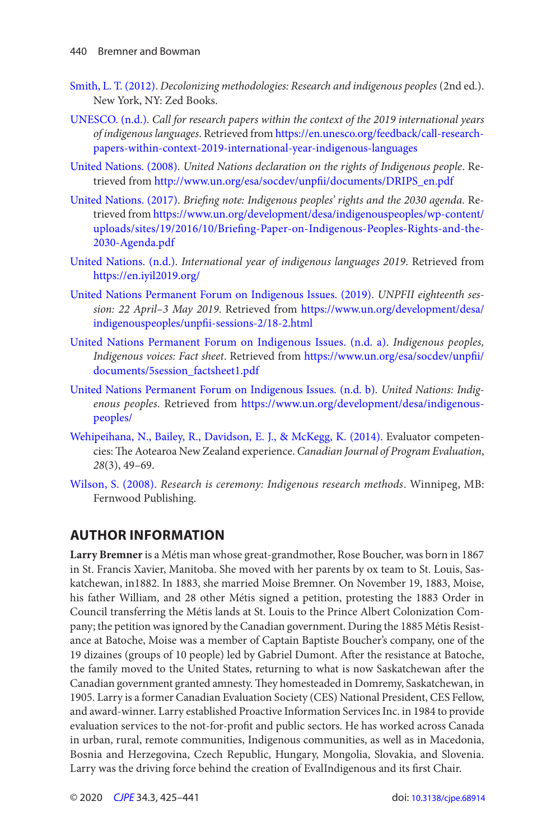- <span id="page-15-0"></span>Smith, L. T. (2012). Decolonizing methodologies: Research and indigenous peoples (2nd ed.). New York, NY: Zed Books .
- UNESCO. (n.d.). Call for research papers within the context of the 2019 international years of indigenous languages . Retrieved from [https://en.unesco.org/feedback/call-research](https://en.unesco.org/feedback/call-research-papers-within-context-2019-international-year-indigenous-languages)[papers-within-context-2019-international-year-indigenous-languages](https://en.unesco.org/feedback/call-research-papers-within-context-2019-international-year-indigenous-languages)
- United Nations. (2008). United Nations declaration on the rights of Indigenous people. Retrieved from [http://www.un.org/esa/socdev/unpfii/documents/DRIPS\\_en.pdf](http://www.un.org/esa/socdev/unpfii/documents/DRIPS_en.pdf)
- United Nations. (2017). Briefing note: Indigenous peoples' rights and the 2030 agenda. Retrieved from [https://www.un.org/development/desa/indigenouspeoples/wp-content/](https://www.un.org/development/desa/indigenouspeoples/wp-content/uploads/sites/19/2016/10/Briefing-Paper-on-Indigenous-Peoples-Rights-and-the-2030-Agenda.pdf)  uploads/sites/19/2016/10/Briefing-Paper-on-Indigenous-Peoples-Rights-and-the-[2030-Agenda.pdf](https://www.un.org/development/desa/indigenouspeoples/wp-content/uploads/sites/19/2016/10/Briefing-Paper-on-Indigenous-Peoples-Rights-and-the-2030-Agenda.pdf)
- United Nations. (n.d.). International year of indigenous languages 2019. Retrieved from <https://en.iyil2019.org/>
- [United Nations Permanent Forum on Indigenous Issues . \( 2019 \)](#page-9-0). UNPFII eighteenth session: 22 April-3 May 2019. Retrieved from https://www.un.org/development/desa/ [indigenouspeoples/unpfii-sessions-2/18-2.html](https://www.un.org/development/desa/indigenouspeoples/unpfii-sessions-2/18-2.html)
- United Nations Permanent Forum on Indigenous Issues. (n.d. a). Indigenous peoples, Indigenous voices: Fact sheet. Retrieved from https://www.un.org/esa/socdev/unpfii/ [documents/5session\\_factsheet1.pdf](https://www.un.org/esa/socdev/unpfi/documents/5session_factsheet1.pdf)
- United Nations Permanent Forum on Indigenous Issues. (n.d. b). United Nations: Indigenous peoples. Retrieved from [https://www.un.org/development/desa/indigenous](https://www.un.org/development/desa/indigenous-peoples/)[peoples/](https://www.un.org/development/desa/indigenous-peoples/)
- Wehipeihana, N., Bailey, R., Davidson, E. J., & McKegg, K. (2014). Evaluator competencies: The Aotearoa New Zealand experience. Canadian Journal of Program Evaluation,  $28(3)$ , 49-69.
- Wilson, S. (2008). Research is ceremony: Indigenous research methods. Winnipeg, MB: Fernwood Publishing.

#### **AUTHOR INFORMATION**

**Larry Bremner** is a Métis man whose great-grandmother, Rose Boucher, was born in 1867 in St. Francis Xavier, Manitoba. She moved with her parents by ox team to St. Louis, Saskatchewan, in1882. In 1883, she married Moise Bremner. On November 19, 1883, Moise, his father William, and 28 other Métis signed a petition, protesting the 1883 Order in Council transferring the Métis lands at St. Louis to the Prince Albert Colonization Company; the petition was ignored by the Canadian government. During the 1885 Métis Resistance at Batoche, Moise was a member of Captain Baptiste Boucher's company, one of the 19 dizaines (groups of 10 people) led by Gabriel Dumont. After the resistance at Batoche, the family moved to the United States, returning to what is now Saskatchewan after the Canadian government granted amnesty. They homesteaded in Domremy, Saskatchewan, in 1905. Larry is a former Canadian Evaluation Society (CES) National President, CES Fellow, and award-winner. Larry established Proactive Information Services Inc. in 1984 to provide evaluation services to the not-for-profit and public sectors. He has worked across Canada in urban, rural, remote communities, Indigenous communities, as well as in Macedonia, Bosnia and Herzegovina, Czech Republic, Hungary, Mongolia, Slovakia, and Slovenia. Larry was the driving force behind the creation of EvalIndigenous and its first Chair.